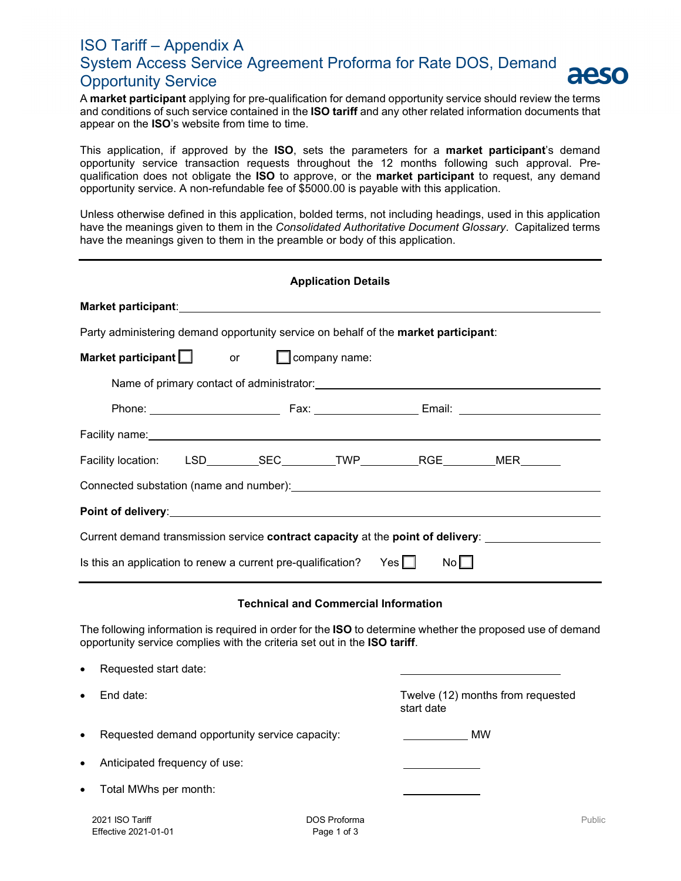## ISO Tariff – Appendix A System Access Service Agreement Proforma for Rate DOS, Demand aeso Opportunity Service

A **market participant** applying for pre-qualification for demand opportunity service should review the terms and conditions of such service contained in the **ISO tariff** and any other related information documents that appear on the **ISO**'s website from time to time.

This application, if approved by the **ISO**, sets the parameters for a **market participant**'s demand opportunity service transaction requests throughout the 12 months following such approval. Prequalification does not obligate the **ISO** to approve, or the **market participant** to request, any demand opportunity service. A non-refundable fee of \$5000.00 is payable with this application.

Unless otherwise defined in this application, bolded terms, not including headings, used in this application have the meanings given to them in the *Consolidated Authoritative Document Glossary*. Capitalized terms have the meanings given to them in the preamble or body of this application.

| <b>Application Details</b>                                                                                                                                                              |  |  |                                             |  |  |  |  |  |  |
|-----------------------------------------------------------------------------------------------------------------------------------------------------------------------------------------|--|--|---------------------------------------------|--|--|--|--|--|--|
|                                                                                                                                                                                         |  |  |                                             |  |  |  |  |  |  |
| Party administering demand opportunity service on behalf of the market participant:                                                                                                     |  |  |                                             |  |  |  |  |  |  |
| $\Box$ company name:<br>Market participant $\Box$<br>$or$ $\qquad$                                                                                                                      |  |  |                                             |  |  |  |  |  |  |
|                                                                                                                                                                                         |  |  |                                             |  |  |  |  |  |  |
|                                                                                                                                                                                         |  |  |                                             |  |  |  |  |  |  |
|                                                                                                                                                                                         |  |  |                                             |  |  |  |  |  |  |
| Facility location: LSD_________SEC_________TWP__________RGE_________MER_______                                                                                                          |  |  |                                             |  |  |  |  |  |  |
|                                                                                                                                                                                         |  |  |                                             |  |  |  |  |  |  |
|                                                                                                                                                                                         |  |  |                                             |  |  |  |  |  |  |
| Current demand transmission service <b>contract capacity</b> at the <b>point of delivery</b> :                                                                                          |  |  |                                             |  |  |  |  |  |  |
| Is this an application to renew a current pre-qualification? Yes $\Box$<br>No                                                                                                           |  |  |                                             |  |  |  |  |  |  |
|                                                                                                                                                                                         |  |  | <b>Technical and Commercial Information</b> |  |  |  |  |  |  |
| The following information is required in order for the ISO to determine whether the proposed use of demand<br>opportunity service complies with the criteria set out in the ISO tariff. |  |  |                                             |  |  |  |  |  |  |
|                                                                                                                                                                                         |  |  |                                             |  |  |  |  |  |  |

| $\bullet$ | Requested start date:                          |                                                 |    |        |
|-----------|------------------------------------------------|-------------------------------------------------|----|--------|
| $\bullet$ | End date:                                      | Twelve (12) months from requested<br>start date |    |        |
| $\bullet$ | Requested demand opportunity service capacity: |                                                 | МW |        |
| $\bullet$ | Anticipated frequency of use:                  |                                                 |    |        |
| $\bullet$ | Total MWhs per month:                          |                                                 |    |        |
|           | 2021 ISO Tariff<br>Effective 2021-01-01        | <b>DOS Proforma</b><br>Page 1 of 3              |    | Public |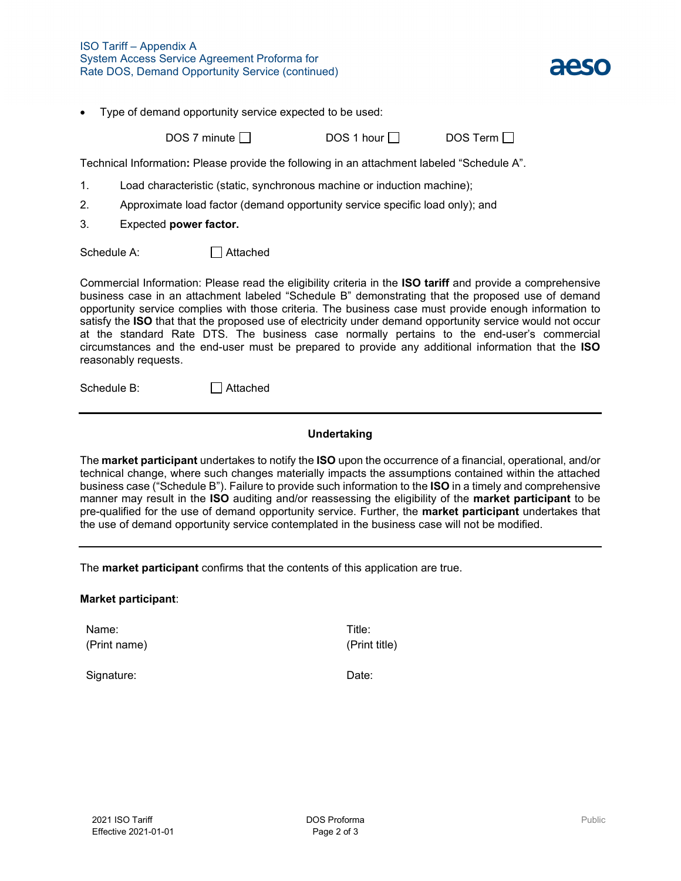

• Type of demand opportunity service expected to be used:

 $DOS 7$  minute  $\Box$  DOS 1 hour  $\Box$  DOS Term  $\Box$ 

Technical Information**:** Please provide the following in an attachment labeled "Schedule A".

- 1. Load characteristic (static, synchronous machine or induction machine);
- 2. Approximate load factor (demand opportunity service specific load only); and
- 3. Expected **power factor.**

Schedule A: <br>
<del>△</del> Attached

Commercial Information: Please read the eligibility criteria in the **ISO tariff** and provide a comprehensive business case in an attachment labeled "Schedule B" demonstrating that the proposed use of demand opportunity service complies with those criteria. The business case must provide enough information to satisfy the **ISO** that that the proposed use of electricity under demand opportunity service would not occur at the standard Rate DTS. The business case normally pertains to the end-user's commercial circumstances and the end-user must be prepared to provide any additional information that the **ISO** reasonably requests.

Schedule B: □ Attached

## **Undertaking**

The **market participant** undertakes to notify the **ISO** upon the occurrence of a financial, operational, and/or technical change, where such changes materially impacts the assumptions contained within the attached business case ("Schedule B"). Failure to provide such information to the **ISO** in a timely and comprehensive manner may result in the **ISO** auditing and/or reassessing the eligibility of the **market participant** to be pre-qualified for the use of demand opportunity service. Further, the **market participant** undertakes that the use of demand opportunity service contemplated in the business case will not be modified.

The **market participant** confirms that the contents of this application are true.

## **Market participant**:

Name: (Print name) Title: (Print title)

Signature: Date: Date: Date: Date: Date: Date: Date: Date: Date: Date: Date: Date: Date: Date: Date: Date: Date: Date: Date: Date: Date: Date: Date: Date: Date: Date: Date: Date: Date: Date: Date: Date: Date: Date: Date: D